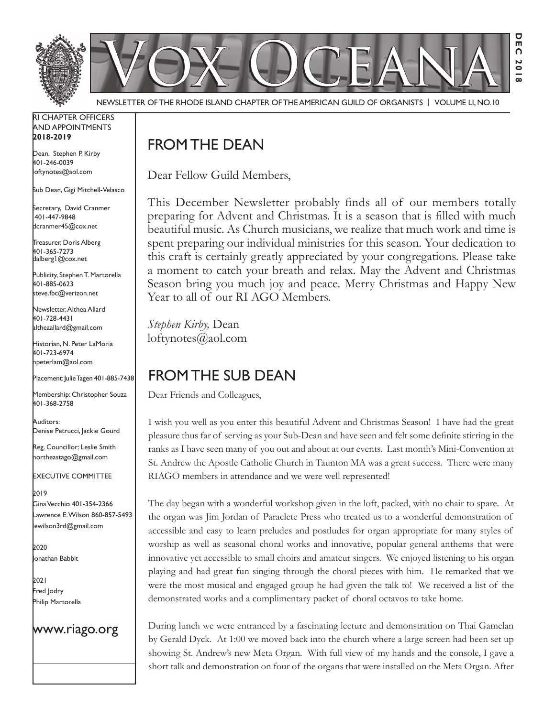

Newsletter of the Rhode Island Chapter of the American Guild of OrganistS | Volume LI, No.10

#### RI Chapter Officers and Appointments **2018-2019**

Dean, Stephen P. Kirby 401-246-0039 loftynotes@aol.com

Sub Dean, Gigi Mitchell-Velasco

Secretary, David Cranmer 401-447-9848 dcranmer45@cox.net

Treasurer, Doris Alberg 401-365-7273 dalberg1@cox.net

I Publicity, Stephen T. Martorella 401-885-0623 steve.fbc@verizon.net

Newsletter, Althea Allard 401-728-4431 altheaallard@gmail.com

Historian, N. Peter LaMoria 401-723-6974 npeterlam@aol.com

Placement: Julie Tagen 401-885-7438

Membership: Christopher Souza 401-368-2758

Auditors: Denise Petrucci, Jackie Gourd

Reg. Councillor: Leslie Smith northeastago@gmail.com

Executive Committee

2019 Gina Vecchio 401-354-2366 Lawrence E. Wilson 860-857-5493 lewilson3rd@gmail.com

2020 Jonathan Babbit

2021 Fred Jodry Philip Martorella

### www.riago.org

## FROM THE DEAN

Dear Fellow Guild Members,

This December Newsletter probably finds all of our members totally preparing for Advent and Christmas. It is a season that is filled with much beautiful music. As Church musicians, we realize that much work and time is spent preparing our individual ministries for this season. Your dedication to this craft is certainly greatly appreciated by your congregations. Please take a moment to catch your breath and relax. May the Advent and Christmas Season bring you much joy and peace. Merry Christmas and Happy New Year to all of our RI AGO Members.

*Stephen Kirby,* Dean loftynotes@aol.com

# From the Sub Dean

Dear Friends and Colleagues,

I wish you well as you enter this beautiful Advent and Christmas Season! I have had the great pleasure thus far of serving as your Sub-Dean and have seen and felt some definite stirring in the ranks as I have seen many of you out and about at our events. Last month's Mini-Convention at St. Andrew the Apostle Catholic Church in Taunton MA was a great success. There were many RIAGO members in attendance and we were well represented!

The day began with a wonderful workshop given in the loft, packed, with no chair to spare. At the organ was Jim Jordan of Paraclete Press who treated us to a wonderful demonstration of accessible and easy to learn preludes and postludes for organ appropriate for many styles of worship as well as seasonal choral works and innovative, popular general anthems that were innovative yet accessible to small choirs and amateur singers. We enjoyed listening to his organ playing and had great fun singing through the choral pieces with him. He remarked that we were the most musical and engaged group he had given the talk to! We received a list of the demonstrated works and a complimentary packet of choral octavos to take home.

During lunch we were entranced by a fascinating lecture and demonstration on Thai Gamelan by Gerald Dyck. At 1:00 we moved back into the church where a large screen had been set up showing St. Andrew's new Meta Organ. With full view of my hands and the console, I gave a short talk and demonstration on four of the organs that were installed on the Meta Organ. After